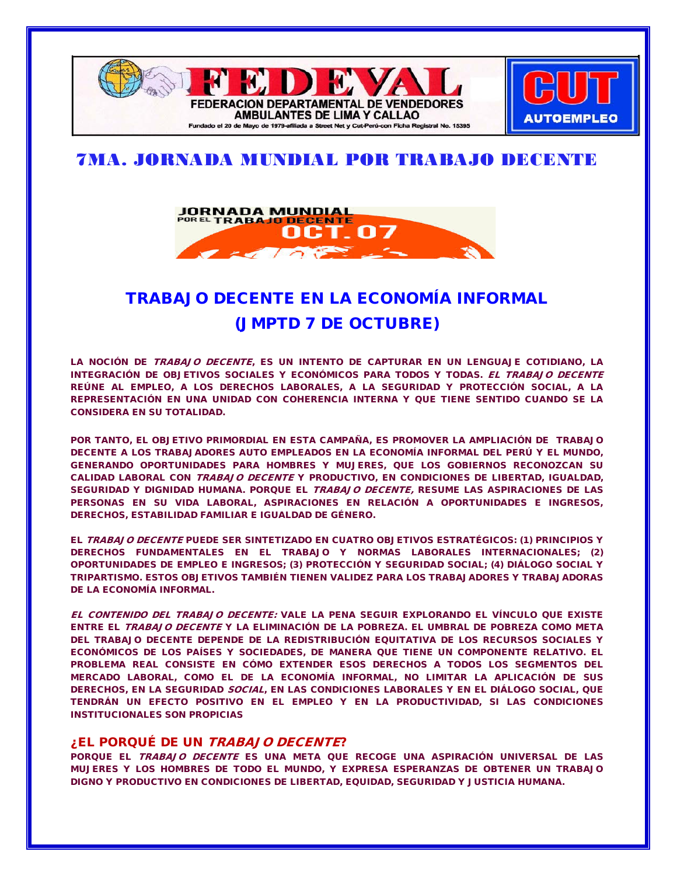

## 7MA. JORNADA MUNDIAL POR TRABAJO DECENTE



# [TRABAJO DECENTE EN LA ECONOMÍA INFORMAL](http://aptta.blogspot.com/2009/09/trabajo-decente-en-la-economia-informal.html) (JMPTD 7 DE OCTUBRE)

LA NOCIÓN DE TRABAJO DECENTE, ES UN INTENTO DE CAPTURAR EN UN LENGUAJE COTIDIANO, LA INTEGRACIÓN DE OBJETIVOS SOCIALES Y ECONÓMICOS PARA TODOS Y TODAS. EL TRABAJO DECENTE REÚNE AL EMPLEO, A LOS DERECHOS LABORALES, A LA SEGURIDAD Y PROTECCIÓN SOCIAL, A LA REPRESENTACIÓN EN UNA UNIDAD CON COHERENCIA INTERNA Y QUE TIENE SENTIDO CUANDO SE LA CONSIDERA EN SU TOTALIDAD.

POR TANTO, EL OBJETIVO PRIMORDIAL EN ESTA CAMPAÑA, ES PROMOVER LA AMPLIACIÓN DE TRABAJO DECENTE A LOS TRABAJADORES AUTO EMPLEADOS EN LA ECONOMÍA INFORMAL DEL PERÚ Y EL MUNDO, GENERANDO OPORTUNIDADES PARA HOMBRES Y MUJERES, QUE LOS GOBIERNOS RECONOZCAN SU CALIDAD LABORAL CON TRABAJO DECENTE Y PRODUCTIVO, EN CONDICIONES DE LIBERTAD, IGUALDAD, SEGURIDAD Y DIGNIDAD HUMANA. PORQUE EL TRABAJO DECENTE, RESUME LAS ASPIRACIONES DE LAS PERSONAS EN SU VIDA LABORAL, ASPIRACIONES EN RELACIÓN A OPORTUNIDADES E INGRESOS, DERECHOS, ESTABILIDAD FAMILIAR E IGUALDAD DE GÉNERO.

EL TRABAJO DECENTE PUEDE SER SINTETIZADO EN CUATRO OBJETIVOS ESTRATÉGICOS: (1) PRINCIPIOS Y DERECHOS FUNDAMENTALES EN EL TRABAJO Y NORMAS LABORALES INTERNACIONALES; (2) OPORTUNIDADES DE EMPLEO E INGRESOS; (3) PROTECCIÓN Y SEGURIDAD SOCIAL; (4) DIÁLOGO SOCIAL Y TRIPARTISMO. ESTOS OBJETIVOS TAMBIÉN TIENEN VALIDEZ PARA LOS TRABAJADORES Y TRABAJADORAS DE LA ECONOMÍA INFORMAL.

EL CONTENIDO DEL TRABAJO DECENTE: VALE LA PENA SEGUIR EXPLORANDO EL VÍNCULO QUE EXISTE ENTRE EL TRABAJO DECENTE Y LA ELIMINACIÓN DE LA POBREZA. EL UMBRAL DE POBREZA COMO META DEL TRABAJO DECENTE DEPENDE DE LA REDISTRIBUCIÓN EQUITATIVA DE LOS RECURSOS SOCIALES Y ECONÓMICOS DE LOS PAÍSES Y SOCIEDADES, DE MANERA QUE TIENE UN COMPONENTE RELATIVO. EL PROBLEMA REAL CONSISTE EN CÓMO EXTENDER ESOS DERECHOS A TODOS LOS SEGMENTOS DEL MERCADO LABORAL, COMO EL DE LA ECONOMÍA INFORMAL, NO LIMITAR LA APLICACIÓN DE SUS DERECHOS, EN LA SEGURIDAD SOCIAL, EN LAS CONDICIONES LABORALES Y EN EL DIÁLOGO SOCIAL, QUE TENDRÁN UN EFECTO POSITIVO EN EL EMPLEO Y EN LA PRODUCTIVIDAD, SI LAS CONDICIONES INSTITUCIONALES SON PROPICIAS

## ¿EL PORQUÉ DE UN TRABAJO DECENTE?

PORQUE EL TRABAJO DECENTE ES UNA META QUE RECOGE UNA ASPIRACIÓN UNIVERSAL DE LAS MUJERES Y LOS HOMBRES DE TODO EL MUNDO, Y EXPRESA ESPERANZAS DE OBTENER UN TRABAJO DIGNO Y PRODUCTIVO EN CONDICIONES DE LIBERTAD, EQUIDAD, SEGURIDAD Y JUSTICIA HUMANA.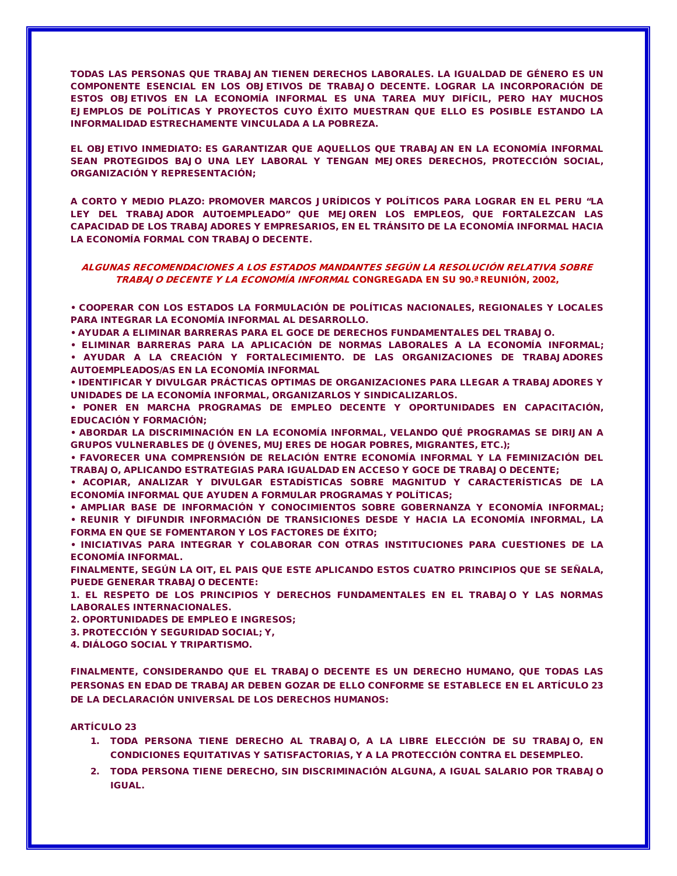TODAS LAS PERSONAS QUE TRABAJAN TIENEN DERECHOS LABORALES. LA IGUALDAD DE GÉNERO ES UN COMPONENTE ESENCIAL EN LOS OBJETIVOS DE TRABAJO DECENTE. LOGRAR LA INCORPORACIÓN DE ESTOS OBJETIVOS EN LA ECONOMÍA INFORMAL ES UNA TAREA MUY DIFÍCIL, PERO HAY MUCHOS EJEMPLOS DE POLÍTICAS Y PROYECTOS CUYO ÉXITO MUESTRAN QUE ELLO ES POSIBLE ESTANDO LA INFORMALIDAD ESTRECHAMENTE VINCULADA A LA POBREZA.

EL OBJETIVO INMEDIATO: ES GARANTIZAR QUE AQUELLOS QUE TRABAJAN EN LA ECONOMÍA INFORMAL SEAN PROTEGIDOS BAJO UNA LEY LABORAL Y TENGAN MEJORES DERECHOS, PROTECCIÓN SOCIAL, ORGANIZACIÓN Y REPRESENTACIÓN;

A CORTO Y MEDIO PLAZO: PROMOVER MARCOS JURÍDICOS Y POLÍTICOS PARA LOGRAR EN EL PERU "LA LEY DEL TRABAJADOR AUTOEMPLEADO" QUE MEJOREN LOS EMPLEOS, QUE FORTALEZCAN LAS CAPACIDAD DE LOS TRABAJADORES Y EMPRESARIOS, EN EL TRÁNSITO DE LA ECONOMÍA INFORMAL HACIA LA ECONOMÍA FORMAL CON TRABAJO DECENTE.

### ALGUNAS RECOMENDACIONES A LOS ESTADOS MANDANTES SEGÚN LA RESOLUCIÓN RELATIVA SOBRE TRABAJO DECENTE Y LA ECONOMÍA INFORMAL CONGREGADA EN SU 90.ª REUNIÓN, 2002,

• COOPERAR CON LOS ESTADOS LA FORMULACIÓN DE POLÍTICAS NACIONALES, REGIONALES Y LOCALES PARA INTEGRAR LA ECONOMÍA INFORMAL AL DESARROLLO.

• AYUDAR A ELIMINAR BARRERAS PARA EL GOCE DE DERECHOS FUNDAMENTALES DEL TRABAJO.

• ELIMINAR BARRERAS PARA LA APLICACIÓN DE NORMAS LABORALES A LA ECONOMÍA INFORMAL; • AYUDAR A LA CREACIÓN Y FORTALECIMIENTO. DE LAS ORGANIZACIONES DE TRABAJADORES AUTOEMPLEADOS/AS EN LA ECONOMÍA INFORMAL

• IDENTIFICAR Y DIVULGAR PRÁCTICAS OPTIMAS DE ORGANIZACIONES PARA LLEGAR A TRABAJADORES Y UNIDADES DE LA ECONOMÍA INFORMAL, ORGANIZARLOS Y SINDICALIZARLOS.

• PONER EN MARCHA PROGRAMAS DE EMPLEO DECENTE Y OPORTUNIDADES EN CAPACITACIÓN, EDUCACIÓN Y FORMACIÓN;

• ABORDAR LA DISCRIMINACIÓN EN LA ECONOMÍA INFORMAL, VELANDO QUÉ PROGRAMAS SE DIRIJAN A GRUPOS VULNERABLES DE (JÓVENES, MUJERES DE HOGAR POBRES, MIGRANTES, ETC.);

• FAVORECER UNA COMPRENSIÓN DE RELACIÓN ENTRE ECONOMÍA INFORMAL Y LA FEMINIZACIÓN DEL TRABAJO, APLICANDO ESTRATEGIAS PARA IGUALDAD EN ACCESO Y GOCE DE TRABAJO DECENTE;

• ACOPIAR, ANALIZAR Y DIVULGAR ESTADÍSTICAS SOBRE MAGNITUD Y CARACTERÍSTICAS DE LA ECONOMÍA INFORMAL QUE AYUDEN A FORMULAR PROGRAMAS Y POLÍTICAS;

• AMPLIAR BASE DE INFORMACIÓN Y CONOCIMIENTOS SOBRE GOBERNANZA Y ECONOMÍA INFORMAL; • REUNIR Y DIFUNDIR INFORMACIÓN DE TRANSICIONES DESDE Y HACIA LA ECONOMÍA INFORMAL, LA FORMA EN QUE SE FOMENTARON Y LOS FACTORES DE ÉXITO;

• INICIATIVAS PARA INTEGRAR Y COLABORAR CON OTRAS INSTITUCIONES PARA CUESTIONES DE LA ECONOMÍA INFORMAL.

FINALMENTE, SEGÚN LA OIT, EL PAIS QUE ESTE APLICANDO ESTOS CUATRO PRINCIPIOS QUE SE SEÑALA, PUEDE GENERAR TRABAJO DECENTE:

1. EL RESPETO DE LOS PRINCIPIOS Y DERECHOS FUNDAMENTALES EN EL TRABAJO Y LAS NORMAS LABORALES INTERNACIONALES.

2. OPORTUNIDADES DE EMPLEO E INGRESOS;

3. PROTECCIÓN Y SEGURIDAD SOCIAL; Y,

4. DIÁLOGO SOCIAL Y TRIPARTISMO.

FINALMENTE, CONSIDERANDO QUE EL TRABAJO DECENTE ES UN DERECHO HUMANO, QUE TODAS LAS PERSONAS EN EDAD DE TRABAJAR DEBEN GOZAR DE ELLO CONFORME SE ESTABLECE EN EL ARTÍCULO 23 DE LA DECLARACIÓN UNIVERSAL DE LOS DERECHOS HUMANOS:

#### ARTÍCULO 23

- 1. TODA PERSONA TIENE DERECHO AL TRABAJO, A LA LIBRE ELECCIÓN DE SU TRABAJO, EN CONDICIONES EQUITATIVAS Y SATISFACTORIAS, Y A LA PROTECCIÓN CONTRA EL DESEMPLEO.
- 2. TODA PERSONA TIENE DERECHO, SIN DISCRIMINACIÓN ALGUNA, A IGUAL SALARIO POR TRABAJO IGUAL.